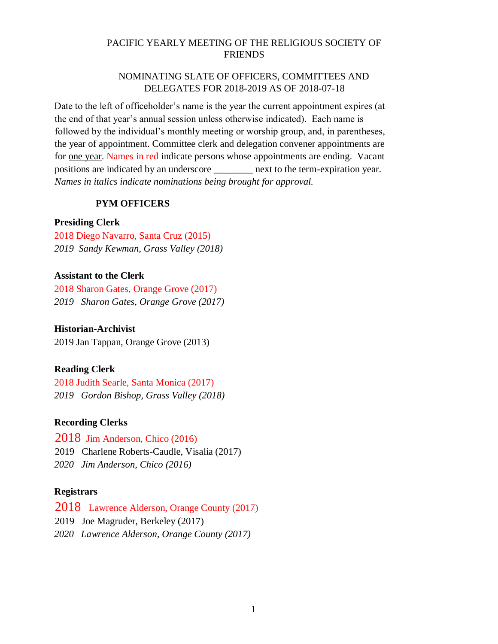### PACIFIC YEARLY MEETING OF THE RELIGIOUS SOCIETY OF FRIENDS

### NOMINATING SLATE OF OFFICERS, COMMITTEES AND DELEGATES FOR 2018-2019 AS OF 2018-07-18

Date to the left of officeholder's name is the year the current appointment expires (at the end of that year's annual session unless otherwise indicated). Each name is followed by the individual's monthly meeting or worship group, and, in parentheses, the year of appointment. Committee clerk and delegation convener appointments are for one year. Names in red indicate persons whose appointments are ending. Vacant positions are indicated by an underscore \_\_\_\_\_\_\_\_ next to the term-expiration year. *Names in italics indicate nominations being brought for approval.*

### **PYM OFFICERS**

### **Presiding Clerk**

2018 Diego Navarro, Santa Cruz (2015) *2019 Sandy Kewman, Grass Valley (2018)* 

### **Assistant to the Clerk**

2018 Sharon Gates, Orange Grove (2017) *2019 Sharon Gates, Orange Grove (2017)* 

### **Historian-Archivist**

2019 Jan Tappan, Orange Grove (2013)

### **Reading Clerk**

2018 Judith Searle, Santa Monica (2017) *2019 Gordon Bishop, Grass Valley (2018)* 

### **Recording Clerks**

2018 Jim Anderson, Chico (2016)

2019 Charlene Roberts-Caudle, Visalia (2017)

*2020 Jim Anderson, Chico (2016)* 

### **Registrars**

2018 Lawrence Alderson, Orange County (2017)

2019 Joe Magruder, Berkeley (2017)

*2020 Lawrence Alderson, Orange County (2017)*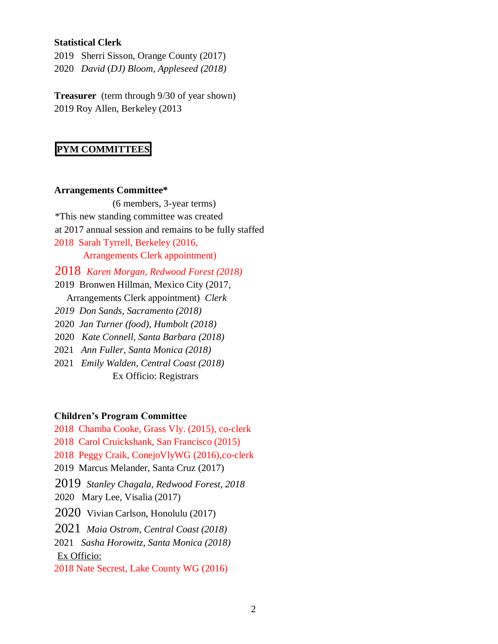### **Statistical Clerk**

2019 Sherri Sisson, Orange County (2017) 2020 *David* (*DJ) Bloom, Appleseed (2018)* 

**Treasurer** (term through 9/30 of year shown) 2019 Roy Allen, Berkeley (2013

# **PYM COMMITTEES**

#### **Arrangements Committee\***

(6 members, 3-year terms) \*This new standing committee was created at 2017 annual session and remains to be fully staffed 2018 Sarah Tyrrell, Berkeley (2016, Arrangements Clerk appointment) 2018 *Karen Morgan, Redwood Forest (2018)* 2019 Bronwen Hillman, Mexico City (2017, Arrangements Clerk appointment) *Clerk*

*2019 Don Sands, Sacramento (2018)* 

2020 *Jan Turner (food), Humbolt (2018)*

2020 *Kate Connell, Santa Barbara (2018)*

2021 *Ann Fuller, Santa Monica (2018)* 

2021 *Emily Walden, Central Coast (2018)*  Ex Officio: Registrars

### **Children's Program Committee**

2018 Chamba Cooke, Grass Vly. (2015), co-clerk

2018 Carol Cruickshank, San Francisco (2015)

2018 Peggy Craik, ConejoVlyWG (2016),co-clerk

2019 Marcus Melander, Santa Cruz (2017)

2019 *Stanley Chagala, Redwood Forest, 2018*

2020 Mary Lee, Visalia (2017)

2020 Vivian Carlson, Honolulu (2017)

2021 *Maia Ostrom, Central Coast (2018)*

2021 *Sasha Horowitz, Santa Monica (2018)*

### Ex Officio:

2018 Nate Secrest, Lake County WG (2016)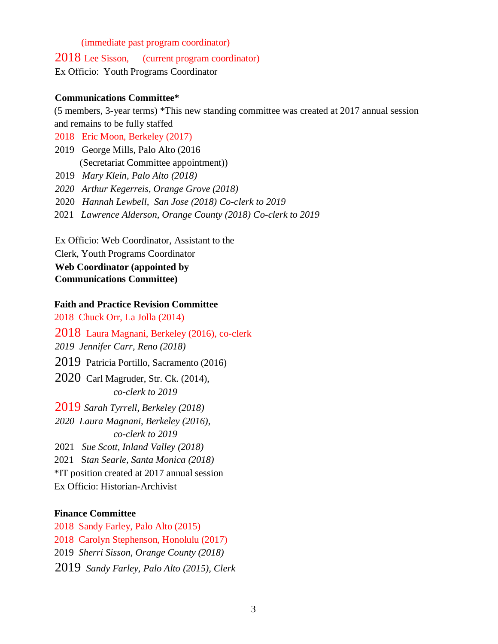#### (immediate past program coordinator)

2018 Lee Sisson, (current program coordinator)

Ex Officio: Youth Programs Coordinator

#### **Communications Committee\***

(5 members, 3-year terms) \*This new standing committee was created at 2017 annual session and remains to be fully staffed

2018 Eric Moon, Berkeley (2017)

2019 George Mills, Palo Alto (2016 (Secretariat Committee appointment))

2019 *Mary Klein, Palo Alto (2018)* 

*2020 Arthur Kegerreis, Orange Grove (2018)* 

- 2020 *Hannah Lewbell, San Jose (2018) Co-clerk to 2019*
- 2021 *Lawrence Alderson, Orange County (2018) Co-clerk to 2019*

Ex Officio: Web Coordinator, Assistant to the Clerk, Youth Programs Coordinator **Web Coordinator (appointed by Communications Committee)**

### **Faith and Practice Revision Committee**

2018 Chuck Orr, La Jolla (2014)

2018 Laura Magnani, Berkeley (2016), co-clerk *2019 Jennifer Carr, Reno (2018)* 2019 Patricia Portillo, Sacramento (2016) 2020 Carl Magruder, Str. Ck. (2014), *co-clerk to 2019* 2019 *Sarah Tyrrell, Berkeley (2018) 2020 Laura Magnani, Berkeley (2016), co-clerk to 2019* 2021 *Sue Scott, Inland Valley (2018)*  2021 S*tan Searle, Santa Monica (2018)* \*IT position created at 2017 annual session Ex Officio: Historian-Archivist

#### **Finance Committee**

2018 Sandy Farley, Palo Alto (2015) 2018 Carolyn Stephenson, Honolulu (2017) 2019 *Sherri Sisson, Orange County (2018)* 2019 *Sandy Farley, Palo Alto (2015), Clerk*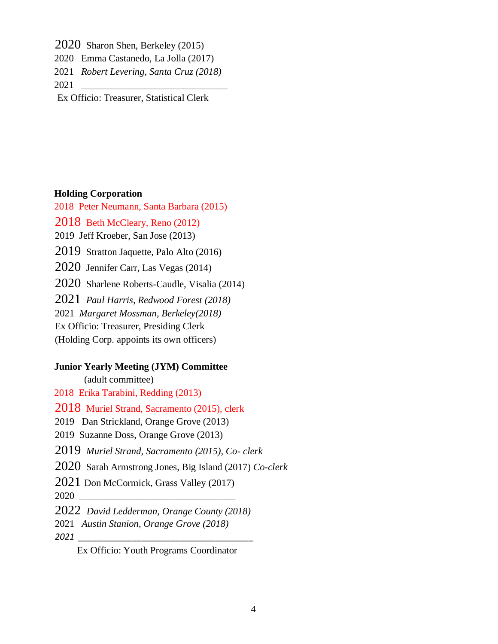2020 Sharon Shen, Berkeley (2015)

- 2020 Emma Castanedo, La Jolla (2017)
- 2021 *Robert Levering, Santa Cruz (2018)*

2021 *\_\_\_\_\_\_\_\_\_\_\_\_\_\_\_\_\_\_\_\_\_\_\_\_\_\_\_\_\_\_*

Ex Officio: Treasurer, Statistical Clerk

### **Holding Corporation**

2018 Peter Neumann, Santa Barbara (2015)

2018 Beth McCleary, Reno (2012)

2019 Jeff Kroeber, San Jose (2013)

2019 Stratton Jaquette, Palo Alto (2016)

2020 Jennifer Carr, Las Vegas (2014)

2020 Sharlene Roberts-Caudle, Visalia (2014)

2021 *Paul Harris, Redwood Forest (2018)*

2021 *Margaret Mossman, Berkeley(2018)* 

Ex Officio: Treasurer, Presiding Clerk

(Holding Corp. appoints its own officers)

### **Junior Yearly Meeting (JYM) Committee**

(adult committee)

2018 Erika Tarabini, Redding (2013)

2018 Muriel Strand, Sacramento (2015), clerk

2019 Dan Strickland, Orange Grove (2013)

2019 Suzanne Doss, Orange Grove (2013)

2019 *Muriel Strand, Sacramento (2015), Co- clerk*

2020 Sarah Armstrong Jones, Big Island (2017) *Co-clerk*

2021 Don McCormick, Grass Valley (2017)

2020 \_\_\_\_\_\_\_\_\_\_\_\_\_\_\_\_\_\_\_\_\_\_\_\_\_\_\_\_\_\_\_\_

2022 *David Ledderman, Orange County (2018)* 

2021 *Austin Stanion, Orange Grove (2018)*

*2021 \_\_\_\_\_\_\_\_\_\_\_\_\_\_\_\_\_\_\_\_\_\_\_\_\_\_\_\_\_\_\_\_\_\_\_\_*

Ex Officio: Youth Programs Coordinator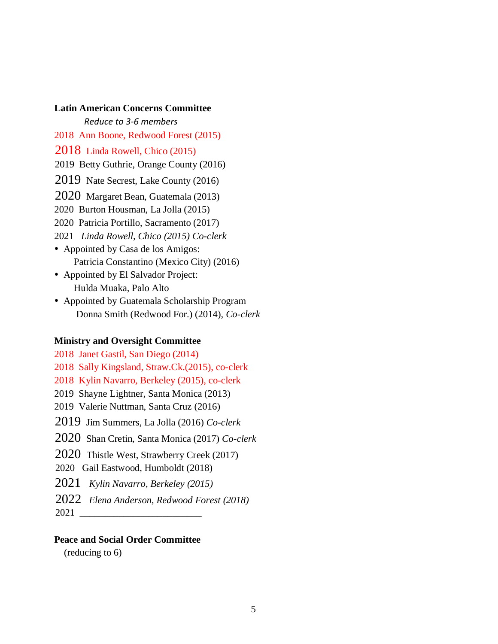**Latin American Concerns Committee** *Reduce to 3-6 members* 2018 Ann Boone, Redwood Forest (2015) 2018 Linda Rowell, Chico (2015) 2019 Betty Guthrie, Orange County (2016) 2019 Nate Secrest, Lake County (2016) 2020 Margaret Bean, Guatemala (2013) 2020 Burton Housman, La Jolla (2015) 2020 Patricia Portillo, Sacramento (2017) 2021 *Linda Rowell, Chico (2015) Co-clerk* • Appointed by Casa de los Amigos: Patricia Constantino (Mexico City) (2016) Appointed by El Salvador Project: Hulda Muaka, Palo Alto

 Appointed by Guatemala Scholarship Program Donna Smith (Redwood For.) (2014), *Co-clerk*

#### **Ministry and Oversight Committee**

2018 Janet Gastil, San Diego (2014) 2018 Sally Kingsland, Straw.Ck.(2015), co-clerk 2018 Kylin Navarro, Berkeley (2015), co-clerk 2019 Shayne Lightner, Santa Monica (2013) 2019 Valerie Nuttman, Santa Cruz (2016) 2019 Jim Summers, La Jolla (2016) *Co-clerk*  2020 Shan Cretin, Santa Monica (2017) *Co-clerk* 2020 Thistle West, Strawberry Creek (2017) 2020 Gail Eastwood, Humboldt (2018) 2021 *Kylin Navarro, Berkeley (2015)* 2022 *Elena Anderson, Redwood Forest (2018)*  2021 \_\_\_\_\_\_\_\_\_\_\_\_\_\_\_\_\_\_\_\_\_\_\_\_\_

#### **Peace and Social Order Committee**

(reducing to 6)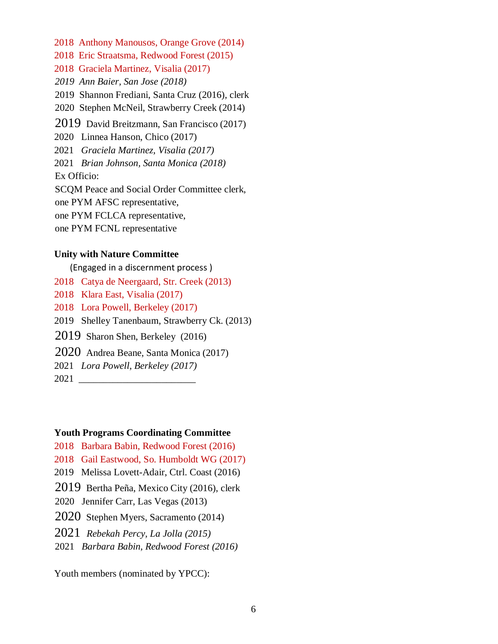2018 Anthony Manousos, Orange Grove (2014) 2018 Eric Straatsma, Redwood Forest (2015) 2018 Graciela Martinez, Visalia (2017) *2019 Ann Baier, San Jose (2018)* 2019 Shannon Frediani, Santa Cruz (2016), clerk 2020 Stephen McNeil, Strawberry Creek (2014) 2019 David Breitzmann, San Francisco (2017) 2020 Linnea Hanson, Chico (2017) 2021 *Graciela Martinez, Visalia (2017)*  2021 *Brian Johnson, Santa Monica (2018)*  Ex Officio: SCQM Peace and Social Order Committee clerk, one PYM AFSC representative, one PYM FCLCA representative,

one PYM FCNL representative

#### **Unity with Nature Committee**

(Engaged in a discernment process )

- 2018 Catya de Neergaard, Str. Creek (2013)
- 2018 Klara East, Visalia (2017)
- 2018 Lora Powell, Berkeley (2017)
- 2019 Shelley Tanenbaum, Strawberry Ck. (2013)
- 2019 Sharon Shen, Berkeley (2016)
- 2020 Andrea Beane, Santa Monica (2017)
- 2021 *Lora Powell, Berkeley (2017)*
- 2021 \_\_\_\_\_\_\_\_\_\_\_\_\_\_\_\_\_\_\_\_\_\_\_\_

### **Youth Programs Coordinating Committee**

- 2018 Barbara Babin, Redwood Forest (2016)
- 2018 Gail Eastwood, So. Humboldt WG (2017)
- 2019 Melissa Lovett-Adair, Ctrl. Coast (2016)
- 2019 Bertha Peña, Mexico City (2016), clerk
- 2020 Jennifer Carr, Las Vegas (2013)
- 2020 Stephen Myers, Sacramento (2014)
- 2021 *Rebekah Percy, La Jolla (2015)*
- 2021 *Barbara Babin, Redwood Forest (2016)*

Youth members (nominated by YPCC):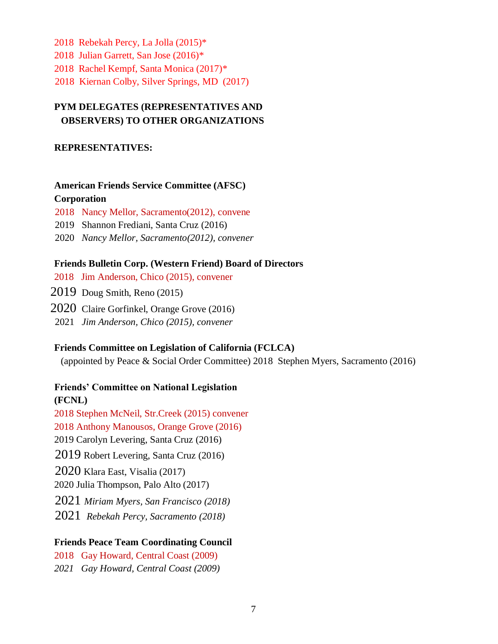- 2018 Rebekah Percy, La Jolla (2015)\* 2018 Julian Garrett, San Jose (2016)\*
- 
- 2018 Rachel Kempf, Santa Monica (2017)\*
- 2018 Kiernan Colby, Silver Springs, MD (2017)

# **PYM DELEGATES (REPRESENTATIVES AND OBSERVERS) TO OTHER ORGANIZATIONS**

### **REPRESENTATIVES:**

# **American Friends Service Committee (AFSC)**

# **Corporation**

- 2018Nancy Mellor, Sacramento(2012), convene
- 2019Shannon Frediani, Santa Cruz (2016)
- 2020 *Nancy Mellor, Sacramento(2012), convener*

# **Friends Bulletin Corp. (Western Friend) Board of Directors**

- 2018Jim Anderson, Chico (2015), convener
- 2019 Doug Smith, Reno (2015)
- 2020 Claire Gorfinkel, Orange Grove (2016)
- 2021 *Jim Anderson, Chico (2015), convener*

# **Friends Committee on Legislation of California (FCLCA)**

(appointed by Peace & Social Order Committee) 2018 Stephen Myers, Sacramento (2016)

# **Friends' Committee on National Legislation**

**(FCNL)**  2018 Stephen McNeil, Str.Creek (2015) convener 2018 Anthony Manousos, Orange Grove (2016) 2019 Carolyn Levering, Santa Cruz (2016) 2019 Robert Levering, Santa Cruz (2016) 2020 Klara East, Visalia (2017) 2020 Julia Thompson, Palo Alto (2017) 2021 *Miriam Myers, San Francisco (2018)*

2021 *Rebekah Percy, Sacramento (2018)*

# **Friends Peace Team Coordinating Council**

2018Gay Howard, Central Coast (2009) *2021 Gay Howard, Central Coast (2009)*